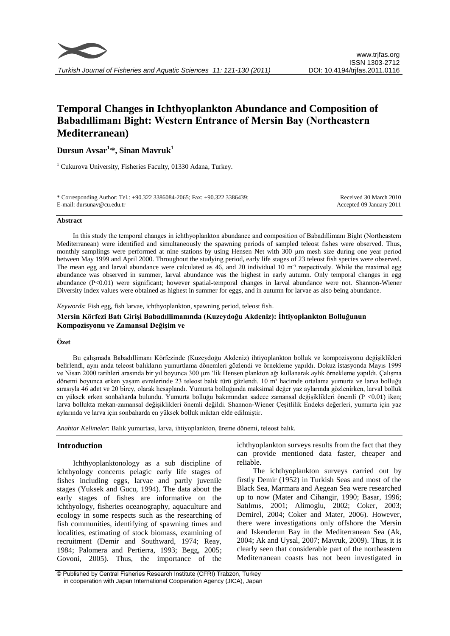

# **Temporal Changes in Ichthyoplankton Abundance and Composition of Babadıllimanı Bight: Western Entrance of Mersin Bay (Northeastern Mediterranean)**

**Dursun Avsar1, \*, Sinan Mavruk<sup>1</sup>**

<sup>1</sup> Cukurova University, Fisheries Faculty, 01330 Adana, Turkey.

| * Corresponding Author: Tel.: +90.322 3386084-2065; Fax: +90.322 3386439; | Received 30 March 2010   |
|---------------------------------------------------------------------------|--------------------------|
| E-mail: dursunay@cu.edu.tr                                                | Accepted 09 January 2011 |
|                                                                           |                          |

#### **Abstract**

In this study the temporal changes in ichthyoplankton abundance and composition of Babadıllimanı Bight (Northeastern Mediterranean) were identified and simultaneously the spawning periods of sampled teleost fishes were observed. Thus, monthly samplings were performed at nine stations by using Hensen Net with 300  $\mu$ m mesh size during one year period between May 1999 and April 2000. Throughout the studying period, early life stages of 23 teleost fish species were observed. The mean egg and larval abundance were calculated as 46, and 20 individual 10 m<sup>3</sup> respectively. While the maximal egg abundance was observed in summer, larval abundance was the highest in early autumn. Only temporal changes in egg abundance (P<0.01) were significant; however spatial-temporal changes in larval abundance were not. Shannon-Wiener Diversity Index values were obtained as highest in summer for eggs, and in autumn for larvae as also being abundance.

*Keywords*: Fish egg, fish larvae, ichthyoplankton, spawning period, teleost fish.

**Mersin Körfezi Batı Girişi Babadıllimanında (Kuzeydoğu Akdeniz): İhtiyoplankton Bolluğunun Kompozisyonu ve Zamansal Değişim ve**

# **Özet**

Bu çalışmada Babadıllimanı Körfezinde (Kuzeydoğu Akdeniz) ihtiyoplankton bolluk ve kompozisyonu değişiklikleri belirlendi, aynı anda teleost balıkların yumurtlama dönemleri gözlendi ve örnekleme yapıldı. Dokuz istasyonda Mayıs 1999 ve Nisan 2000 tarihleri arasında bir yıl boyunca 300 μm 'lik Hensen plankton ağı kullanarak aylık örnekleme yapıldı. Çalışma dönemi boyunca erken yaşam evrelerinde 23 teleost balık türü gözlendi. 10 m<sup>3</sup> hacimde ortalama yumurta ve larva bolluğu sırasıyla 46 adet ve 20 birey, olarak hesaplandı. Yumurta bolluğunda maksimal değer yaz aylarında gözlenirken, larval bolluk en yüksek erken sonbaharda bulundu. Yumurta bolluğu bakımından sadece zamansal değişiklikleri önemli (P <0.01) iken; larva bollukta mekan-zamansal değişiklikleri önemli değildi. Shannon-Wiener Çeşitlilik Endeks değerleri, yumurta için yaz aylarında ve larva için sonbaharda en yüksek bolluk miktarı elde edilmiştir.

*Anahtar Kelimeler*: Balık yumurtası, larva, ihtiyoplankton, üreme dönemi, teleost balık.

## **Introduction**

Ichthyoplanktonology as a sub discipline of ichthyology concerns pelagic early life stages of fishes including eggs, larvae and partly juvenile stages (Yuksek and Gucu, 1994). The data about the early stages of fishes are informative on the ichthyology, fisheries oceanography, aquaculture and ecology in some respects such as the researching of fish communities, identifying of spawning times and localities, estimating of stock biomass, examining of recruitment (Demir and Southward, 1974; Reay, 1984; Palomera and Pertierra, 1993; Begg, 2005; Govoni, 2005). Thus, the importance of the

ichthyoplankton surveys results from the fact that they can provide mentioned data faster, cheaper and reliable.

The ichthyoplankton surveys carried out by firstly Demir (1952) in Turkish Seas and most of the Black Sea, Marmara and Aegean Sea were researched up to now (Mater and Cihangir, 1990; Basar, 1996; Satılmıs, 2001; Alimoglu, 2002; Coker, 2003; Demirel, 2004; Coker and Mater, 2006). However, there were investigations only offshore the Mersin and Iskenderun Bay in the Mediterranean Sea (Ak, 2004; Ak and Uysal, 2007; Mavruk, 2009). Thus, it is clearly seen that considerable part of the northeastern Mediterranean coasts has not been investigated in

<sup>©</sup> Published by Central Fisheries Research Institute (CFRI) Trabzon, Turkey in cooperation with Japan International Cooperation Agency (JICA), Japan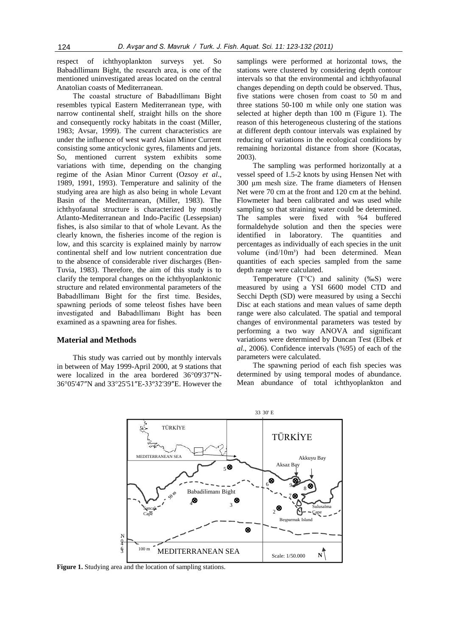respect of ichthyoplankton surveys yet. So Babadıllimanı Bight, the research area, is one of the mentioned uninvestigated areas located on the central Anatolian coasts of Mediterranean.

The coastal structure of Babadıllimanı Bight resembles typical Eastern Mediterranean type, with narrow continental shelf, straight hills on the shore and consequently rocky habitats in the coast (Miller, 1983; Avsar, 1999). The current characteristics are under the influence of west ward Asian Minor Current consisting some anticyclonic gyres, filaments and jets. So, mentioned current system exhibits some variations with time, depending on the changing regime of the Asian Minor Current (Ozsoy *et al*., 1989, 1991, 1993). Temperature and salinity of the studying area are high as also being in whole Levant Basin of the Mediterranean, (Miller, 1983). The ichthyofaunal structure is characterized by mostly Atlanto-Mediterranean and Indo-Pacific (Lessepsian) fishes, is also similar to that of whole Levant. As the clearly known, the fisheries income of the region is low, and this scarcity is explained mainly by narrow continental shelf and low nutrient concentration due to the absence of considerable river discharges (Ben-Tuvia, 1983). Therefore, the aim of this study is to clarify the temporal changes on the ichthyoplanktonic structure and related environmental parameters of the Babadıllimanı Bight for the first time. Besides, spawning periods of some teleost fishes have been investigated and Babadıllimanı Bight has been examined as a spawning area for fishes.

## **Material and Methods**

This study was carried out by monthly intervals in between of May 1999-April 2000, at 9 stations that were localized in the area bordered 36°09'37″N-36°05'47″N and 33°25'51″E-33º32'39″E. However the samplings were performed at horizontal tows, the stations were clustered by considering depth contour intervals so that the environmental and ichthyofaunal changes depending on depth could be observed. Thus, five stations were chosen from coast to 50 m and three stations 50-100 m while only one station was selected at higher depth than 100 m (Figure 1). The reason of this heterogeneous clustering of the stations at different depth contour intervals was explained by reducing of variations in the ecological conditions by remaining horizontal distance from shore (Kocatas, 2003).

The sampling was performed horizontally at a vessel speed of 1.5-2 knots by using Hensen Net with 300 µm mesh size. The frame diameters of Hensen Net were 70 cm at the front and 120 cm at the behind. Flowmeter had been calibrated and was used while sampling so that straining water could be determined. The samples were fixed with %4 buffered formaldehyde solution and then the species were identified in laboratory. The quantities and percentages as individually of each species in the unit volume (ind/10m<sup>3</sup>) had been determined. Mean quantities of each species sampled from the same depth range were calculated.

Temperature  $(T^{\circ}C)$  and salinity (‰S) were measured by using a YSI 6600 model CTD and Secchi Depth (SD) were measured by using a Secchi Disc at each stations and mean values of same depth range were also calculated. The spatial and temporal changes of environmental parameters was tested by performing a two way ANOVA and significant variations were determined by Duncan Test (Elbek *et al*., 2006). Confidence intervals (%95) of each of the parameters were calculated.

The spawning period of each fish species was determined by using temporal modes of abundance. Mean abundance of total ichthyoplankton and



**Figure 1.** Studying area and the location of sampling stations.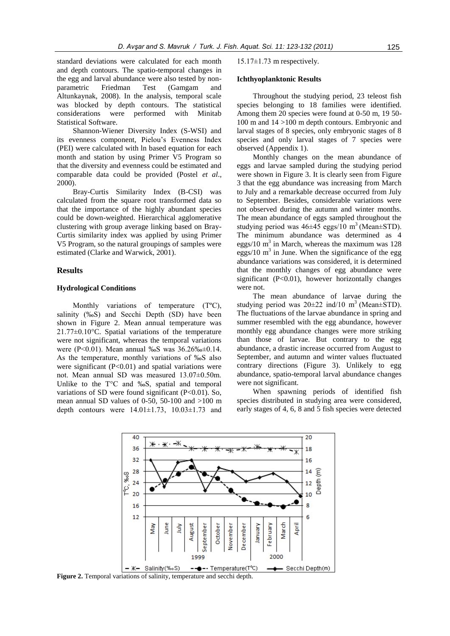standard deviations were calculated for each month and depth contours. The spatio-temporal changes in the egg and larval abundance were also tested by nonparametric Friedman Test (Gamgam and Altunkaynak, 2008). In the analysis, temporal scale was blocked by depth contours. The statistical considerations were performed with Minitab Statistical Software.

Shannon-Wiener Diversity Index (S-WSI) and its evenness component, Pielou's Evenness Index (PEI) were calculated with ln based equation for each month and station by using Primer V5 Program so that the diversity and evenness could be estimated and comparable data could be provided (Postel *et al*., 2000).

Bray-Curtis Similarity Index (B-CSI) was calculated from the square root transformed data so that the importance of the highly abundant species could be down-weighted. Hierarchical agglomerative clustering with group average linking based on Bray-Curtis similarity index was applied by using Primer V5 Program, so the natural groupings of samples were estimated (Clarke and Warwick, 2001).

#### **Results**

#### **Hydrological Conditions**

Monthly variations of temperature (T°C), salinity (‰S) and Secchi Depth (SD) have been shown in Figure 2. Mean annual temperature was 21.77±0.10°C. Spatial variations of the temperature were not significant, whereas the temporal variations were (P<0.01). Mean annual ‰S was 36.26‰±0.14. As the temperature, monthly variations of ‰S also were significant  $(P<0.01)$  and spatial variations were not. Mean annual SD was measured 13.07±0.50m. Unlike to the T°C and ‰S, spatial and temporal variations of SD were found significant  $(P<0.01)$ . So, mean annual SD values of 0-50, 50-100 and  $>100$  m depth contours were  $14.01 \pm 1.73$ ,  $10.03 \pm 1.73$  and  $15.17\pm1.73$  m respectively.

#### **Ichthyoplanktonic Results**

Throughout the studying period, 23 teleost fish species belonging to 18 families were identified. Among them 20 species were found at 0-50 m, 19 50- 100 m and 14 >100 m depth contours. Embryonic and larval stages of 8 species, only embryonic stages of 8 species and only larval stages of 7 species were observed (Appendix 1).

Monthly changes on the mean abundance of eggs and larvae sampled during the studying period were shown in Figure 3. It is clearly seen from Figure 3 that the egg abundance was increasing from March to July and a remarkable decrease occurred from July to September. Besides, considerable variations were not observed during the autumn and winter months. The mean abundance of eggs sampled throughout the studying period was  $46\pm 45$  eggs/10 m<sup>3</sup> (Mean $\pm$ STD). The minimum abundance was determined as 4 eggs/10  $m<sup>3</sup>$  in March, whereas the maximum was 128 eggs/10  $m<sup>3</sup>$  in June. When the significance of the egg abundance variations was considered, it is determined that the monthly changes of egg abundance were significant  $(P<0.01)$ , however horizontally changes were not.

The mean abundance of larvae during the studying period was  $20\pm 22$  ind/10 m<sup>3</sup> (Mean $\pm$ STD). The fluctuations of the larvae abundance in spring and summer resembled with the egg abundance, however monthly egg abundance changes were more striking than those of larvae. But contrary to the egg abundance, a drastic increase occurred from August to September, and autumn and winter values fluctuated contrary directions (Figure 3). Unlikely to egg abundance, spatio-temporal larval abundance changes were not significant.

When spawning periods of identified fish species distributed in studying area were considered, early stages of 4, 6, 8 and 5 fish species were detected



**Figure 2.** Temporal variations of salinity, temperature and secchi depth.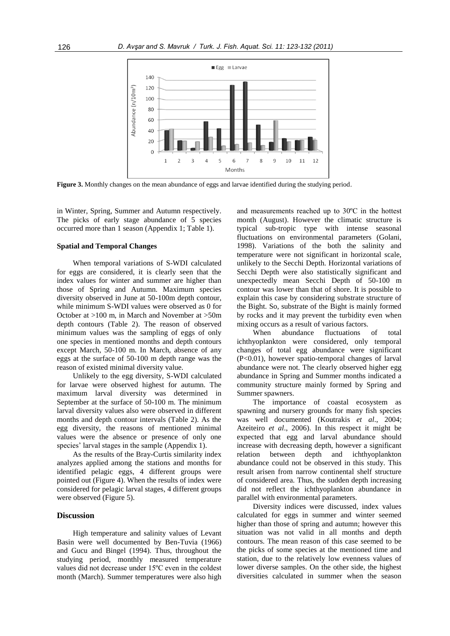

**Figure 3.** Monthly changes on the mean abundance of eggs and larvae identified during the studying period.

in Winter, Spring, Summer and Autumn respectively. The picks of early stage abundance of 5 species occurred more than 1 season (Appendix 1; Table 1).

#### **Spatial and Temporal Changes**

When temporal variations of S-WDI calculated for eggs are considered, it is clearly seen that the index values for winter and summer are higher than those of Spring and Autumn. Maximum species diversity observed in June at 50-100m depth contour, while minimum S-WDI values were observed as 0 for October at >100 m, in March and November at >50m depth contours (Table 2). The reason of observed minimum values was the sampling of eggs of only one species in mentioned months and depth contours except March, 50-100 m. In March, absence of any eggs at the surface of 50-100 m depth range was the reason of existed minimal diversity value.

Unlikely to the egg diversity, S-WDI calculated for larvae were observed highest for autumn. The maximum larval diversity was determined in September at the surface of 50-100 m. The minimum larval diversity values also were observed in different months and depth contour intervals (Table 2). As the egg diversity, the reasons of mentioned minimal values were the absence or presence of only one species' larval stages in the sample (Appendix 1).

As the results of the Bray-Curtis similarity index analyzes applied among the stations and months for identified pelagic eggs, 4 different groups were pointed out (Figure 4). When the results of index were considered for pelagic larval stages, 4 different groups were observed (Figure 5).

# **Discussion**

High temperature and salinity values of Levant Basin were well documented by Ben-Tuvia (1966) and Gucu and Bingel (1994). Thus, throughout the studying period, monthly measured temperature values did not decrease under 15ºC even in the coldest month (March). Summer temperatures were also high

and measurements reached up to 30ºC in the hottest month (August). However the climatic structure is typical sub-tropic type with intense seasonal fluctuations on environmental parameters (Golani, 1998). Variations of the both the salinity and temperature were not significant in horizontal scale, unlikely to the Secchi Depth. Horizontal variations of Secchi Depth were also statistically significant and unexpectedly mean Secchi Depth of 50-100 m contour was lower than that of shore. It is possible to explain this case by considering substrate structure of the Bight. So, substrate of the Bight is mainly formed by rocks and it may prevent the turbidity even when mixing occurs as a result of various factors.

When abundance fluctuations of total ichthyoplankton were considered, only temporal changes of total egg abundance were significant (P<0.01), however spatio-temporal changes of larval abundance were not. The clearly observed higher egg abundance in Spring and Summer months indicated a community structure mainly formed by Spring and Summer spawners.

The importance of coastal ecosystem as spawning and nursery grounds for many fish species was well documented (Koutrakis *et al*., 2004; Azeiteiro *et al*., 2006). In this respect it might be expected that egg and larval abundance should increase with decreasing depth, however a significant relation between depth and ichthyoplankton abundance could not be observed in this study. This result arisen from narrow continental shelf structure of considered area. Thus, the sudden depth increasing did not reflect the ichthyoplankton abundance in parallel with environmental parameters.

Diversity indices were discussed, index values calculated for eggs in summer and winter seemed higher than those of spring and autumn; however this situation was not valid in all months and depth contours. The mean reason of this case seemed to be the picks of some species at the mentioned time and station, due to the relatively low evenness values of lower diverse samples. On the other side, the highest diversities calculated in summer when the season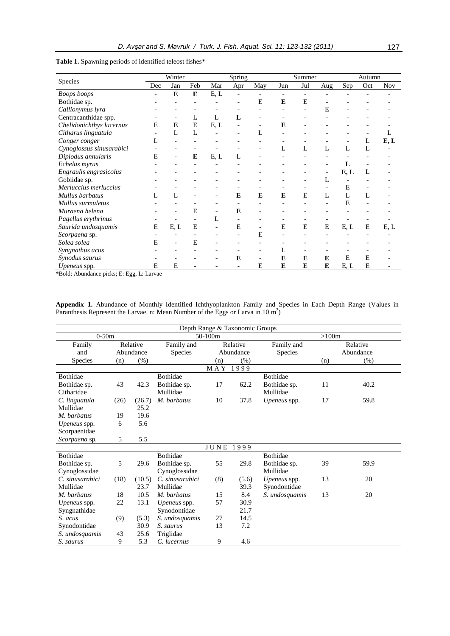|                          | Winter                   |              |     | Spring |                          |                          | Summer |     |     | Autumn |     |            |
|--------------------------|--------------------------|--------------|-----|--------|--------------------------|--------------------------|--------|-----|-----|--------|-----|------------|
| Species                  | Dec                      | Jan          | Feb | Mar    | Apr                      | May                      | Jun    | Jul | Aug | Sep    | Oct | <b>Nov</b> |
| <b>Boops</b> boops       | $\overline{\phantom{a}}$ | E            | E   | E, L   | $\overline{\phantom{a}}$ |                          | ۰      |     |     |        |     |            |
| Bothidae sp.             |                          |              |     |        |                          | E                        | E      | E   |     |        |     |            |
| Callionymus lyra         |                          |              |     |        |                          |                          | ٠      |     | Е   |        |     |            |
| Centracanthidae spp.     |                          |              | L   | L      | L                        |                          |        |     |     |        |     |            |
| Chelidonichthys lucernus | E                        | E            | E   | E, L   |                          |                          | E      |     |     |        |     |            |
| Citharus linguatula      |                          | L            | L   |        |                          | L                        |        |     |     |        |     |            |
| Conger conger            | L                        |              |     |        |                          |                          |        |     |     |        | L   | E, L       |
| Cynoglossus sinusarabici |                          |              |     |        |                          |                          | L      | L   | L   | L      | L   |            |
| Diplodus annularis       | E                        |              | E   | E, L   | L                        |                          |        |     |     |        |     |            |
| Echelus myrus            |                          |              |     |        |                          |                          |        |     |     | L      |     |            |
| Engraulis engrasicolus   |                          |              |     |        |                          |                          |        |     |     | E, L   | L   |            |
| Gobiidae sp.             |                          |              |     |        |                          |                          |        |     | L   |        |     |            |
| Merluccius merluccius    |                          |              |     |        |                          |                          |        |     |     | E      |     |            |
| Mullus barbatus          | L                        | $\mathbf{L}$ |     |        | E                        | E                        | E      | E   | L   | L      | L   |            |
| Mullus surmuletus        |                          |              |     |        |                          |                          |        |     |     | E      |     |            |
| Muraena helena           |                          |              | E   |        | E                        |                          |        |     |     |        |     |            |
| Pagellus erythrinus      |                          |              |     | L      |                          |                          |        |     |     |        |     |            |
| Saurida undosquamis      | E                        | E, L         | E   |        | E                        |                          | E      | E   | E   | E, L   | E   | E, L       |
| Scorpaena sp.            |                          |              |     |        |                          | E                        |        |     |     |        |     |            |
| Solea solea              | Е                        |              | E   |        |                          |                          |        |     |     |        |     |            |
| Syngnathus acus          |                          |              |     |        |                          |                          | L      |     |     |        |     |            |
| Synodus saurus           |                          |              |     |        | E                        | $\overline{\phantom{a}}$ | E      | E   | E   | E      | E   |            |
| <i>Upeneus</i> spp.      | E                        | E            |     |        |                          | E                        | E      | E   | E   | E, L   | E   |            |

**Table 1.** Spawning periods of identified teleost fishes\*

\*Bold: Abundance picks; E: Egg, L: Larvae

**Appendix 1.** Abundance of Monthly Identified Ichthyoplankton Family and Species in Each Depth Range (Values in Paranthesis Represent the Larvae. n: Mean Number of the Eggs or Larva in 10  $m<sup>3</sup>$ )

| Depth Range & Taxonomic Groups |           |        |                     |                 |       |                     |     |           |  |  |
|--------------------------------|-----------|--------|---------------------|-----------------|-------|---------------------|-----|-----------|--|--|
| $0-50m$                        |           |        |                     | 50-100m         |       | >100m               |     |           |  |  |
| Family                         | Relative  |        | Family and          | Relative        |       | Family and          |     | Relative  |  |  |
| and                            | Abundance |        | Species             | Abundance       |       | <b>Species</b>      |     | Abundance |  |  |
| <b>Species</b>                 | (n)       | (% )   |                     | (n)             | (% )  |                     | (n) | (% )      |  |  |
|                                |           |        |                     | MAY 1999        |       |                     |     |           |  |  |
| Bothidae                       |           |        | Bothidae            |                 |       | Bothidae            |     |           |  |  |
| Bothidae sp.                   | 43        | 42.3   | Bothidae sp.        | 17              | 62.2  | Bothidae sp.        | 11  | 40.2      |  |  |
| Citharidae                     |           |        | Mullidae            |                 |       | Mullidae            |     |           |  |  |
| C. linguatula                  | (26)      | (26.7) | M. barbatus         | 10              | 37.8  | Upeneus spp.        | 17  | 59.8      |  |  |
| Mullidae                       |           | 25.2   |                     |                 |       |                     |     |           |  |  |
| M. barbatus                    | 19        | 19.6   |                     |                 |       |                     |     |           |  |  |
| <i>Upeneus</i> spp.            | 6         | 5.6    |                     |                 |       |                     |     |           |  |  |
| Scorpaenidae                   |           |        |                     |                 |       |                     |     |           |  |  |
| Scorpaena sp.                  | 5         | 5.5    |                     |                 |       |                     |     |           |  |  |
|                                |           |        |                     | ${\rm J}$ U N E | 1999  |                     |     |           |  |  |
| <b>Bothidae</b>                |           |        | <b>Bothidae</b>     |                 |       | <b>Bothidae</b>     |     |           |  |  |
| Bothidae sp.                   | 5         | 29.6   | Bothidae sp.        | 55              | 29.8  | Bothidae sp.        | 39  | 59.9      |  |  |
| Cynoglossidae                  |           |        | Cynoglossidae       |                 |       | Mullidae            |     |           |  |  |
| C. sinusarabici                | (18)      | (10.5) | C. sinusarabici     | (8)             | (5.6) | <i>Upeneus</i> spp. | 13  | 20        |  |  |
| Mullidae                       |           | 23.7   | Mullidae            |                 | 39.3  | Synodontidae        |     |           |  |  |
| M. barbatus                    | 18        | 10.5   | M. barbatus         | 15              | 8.4   | S. undosquamis      | 13  | 20        |  |  |
| <i>Upeneus</i> spp.            | 22        | 13.1   | <i>Upeneus</i> spp. | 57              | 30.9  |                     |     |           |  |  |
| Syngnathidae                   |           |        | Synodontidae        |                 | 21.7  |                     |     |           |  |  |
| S. acus                        | (9)       | (5.3)  | S. undosquamis      | 27              | 14.5  |                     |     |           |  |  |
| Synodontidae                   |           | 30.9   | S. saurus           | 13              | 7.2   |                     |     |           |  |  |
| S. undosquamis                 | 43        | 25.6   | Triglidae           |                 |       |                     |     |           |  |  |
| S. saurus                      | 9         | 5.3    | C. lucernus         | 9               | 4.6   |                     |     |           |  |  |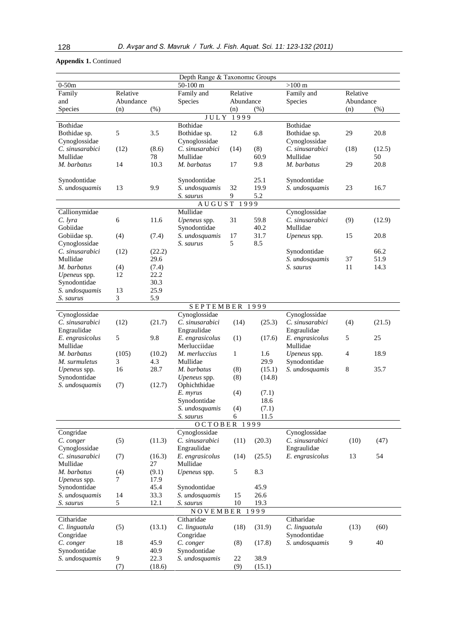|                 |                  |        | Depth Range & Taxonomic Groups |              |        |                 |           |        |
|-----------------|------------------|--------|--------------------------------|--------------|--------|-----------------|-----------|--------|
| $0-50m$         |                  |        | $50-100$ m                     |              |        | $>100$ m        |           |        |
| Family          | Relative         |        | Family and                     | Relative     |        | Family and      | Relative  |        |
| and             | Abundance        |        | Species                        | Abundance    |        | Species         | Abundance |        |
| Species         | (n)              | (%)    |                                | (n)          | (%)    |                 | (n)       | (%)    |
|                 |                  |        | JULY                           | 1999         |        |                 |           |        |
| Bothidae        |                  |        | Bothidae                       |              |        | Bothidae        |           |        |
| Bothidae sp.    | 5                | 3.5    | Bothidae sp.                   | 12           | 6.8    | Bothidae sp.    | 29        | 20.8   |
| Cynoglossidae   |                  |        | Cynoglossidae                  |              |        | Cynoglossidae   |           |        |
| C. sinusarabici | (12)             | (8.6)  | C. sinusarabici                | (14)         | (8)    | C. sinusarabici | (18)      | (12.5) |
| Mullidae        |                  | 78     | Mullidae                       |              | 60.9   | Mullidae        |           | 50     |
| M. barbatus     | 14               | 10.3   | M. barbatus                    | 17           | 9.8    | M. barbatus     | 29        | 20.8   |
| Synodontidae    |                  |        | Synodontidae                   |              | 25.1   | Synodontidae    |           |        |
| S. undosquamis  | 13               | 9.9    | S. undosquamis                 | 32           | 19.9   | S. undosquamis  | 23        | 16.7   |
|                 |                  |        | S. saurus                      | 9            | 5.2    |                 |           |        |
|                 |                  |        | AUGUST                         | 1999         |        |                 |           |        |
| Callionymidae   |                  |        | Mullidae                       |              |        | Cynoglossidae   |           |        |
| C. lyra         | 6                | 11.6   | Upeneus spp.                   | 31           | 59.8   | C. sinusarabici | (9)       | (12.9) |
| Gobiidae        |                  |        | Synodontidae                   |              | 40.2   | Mullidae        |           |        |
| Gobiidae sp.    | (4)              | (7.4)  | S. undosquamis                 | 17           | 31.7   | Upeneus spp.    | 15        | 20.8   |
| Cynoglossidae   |                  |        | S. saurus                      | 5            | 8.5    |                 |           |        |
| C. sinusarabici | (12)             | (22.2) |                                |              |        | Synodontidae    |           | 66.2   |
| Mullidae        |                  | 29.6   |                                |              |        | S. undosquamis  | 37        | 51.9   |
| M. barbatus     | (4)              | (7.4)  |                                |              |        | S. saurus       | 11        | 14.3   |
| Upeneus spp.    | 12               | 22.2   |                                |              |        |                 |           |        |
| Synodontidae    |                  | 30.3   |                                |              |        |                 |           |        |
| S. undosquamis  | 13               | 25.9   |                                |              |        |                 |           |        |
| S. saurus       | 3                | 5.9    |                                |              |        |                 |           |        |
|                 |                  |        | SEPTEMBER                      |              | 1999   |                 |           |        |
| Cynoglossidae   |                  |        | Cynoglossidae                  |              |        | Cynoglossidae   |           |        |
| C. sinusarabici | (12)             | (21.7) | C. sinusarabici                | (14)         | (25.3) | C. sinusarabici | (4)       | (21.5) |
| Engraulidae     |                  |        | Engraulidae                    |              |        | Engraulidae     |           |        |
| E. engrasicolus | 5                | 9.8    | E. engrasicolus                | (1)          | (17.6) | E. engrasicolus | 5         | 25     |
| Mullidae        |                  |        | Merlucciidae                   |              |        | Mullidae        |           |        |
| M. barbatus     | (105)            | (10.2) | M. merluccius                  | $\mathbf{1}$ | 1.6    | Upeneus spp.    | 4         | 18.9   |
| M. surmuletus   | 3                | 4.3    | Mullidae                       |              | 29.9   | Synodontidae    |           |        |
| Upeneus spp.    | 16               | 28.7   | M. barbatus                    | (8)          | (15.1) | S. undosquamis  | 8         | 35.7   |
| Synodontidae    |                  |        | Upeneus spp.                   | (8)          | (14.8) |                 |           |        |
| S. undosquamis  | (7)              | (12.7) | Ophichthidae<br>E. myrus       | (4)<br>(7.1) |        |                 |           |        |
|                 |                  |        | Synodontidae                   |              | 18.6   |                 |           |        |
|                 |                  |        | S. undosquamis                 | (4)          | (7.1)  |                 |           |        |
|                 |                  |        | S. saurus                      | 6            | 11.5   |                 |           |        |
|                 |                  |        | OCTOBER                        |              | 1999   |                 |           |        |
| Congridae       |                  |        | Cynoglossidae                  |              |        | Cynoglossidae   |           |        |
| C. conger       | (5)              | (11.3) | C. sinusarabici                | (11)         | (20.3) | C. sinusarabici | (10)      | (47)   |
| Cynoglossidae   |                  |        | Engraulidae                    |              |        | Engraulidae     |           |        |
| C. sinusarabici | (7)              | (16.3) | E. engrasicolus                | (14)         | (25.5) | E. engrasicolus | 13        | 54     |
| Mullidae        |                  | 27     | Mullidae                       |              |        |                 |           |        |
| M. barbatus     | (4)              | (9.1)  | Upeneus spp.                   | 5            | 8.3    |                 |           |        |
| Upeneus spp.    | 7                | 17.9   |                                |              |        |                 |           |        |
| Synodontidae    |                  | 45.4   | Synodontidae                   |              | 45.9   |                 |           |        |
| S. undosquamis  | 14               | 33.3   | S. undosquamis                 | 15           | 26.6   |                 |           |        |
| S. saurus       | 5                | 12.1   | S. saurus                      | 10           | 19.3   |                 |           |        |
|                 |                  |        | NOVEMBER                       |              | 1999   |                 |           |        |
| Citharidae      |                  |        | Citharidae                     |              |        | Citharidae      |           |        |
| C. linguatula   | (5)              | (13.1) | C. linguatula                  | (18)         | (31.9) | C. linguatula   | (13)      | (60)   |
| Congridae       |                  |        | Congridae                      |              |        | Synodontidae    |           |        |
| C. conger       | 18               | 45.9   | C. conger                      | (8)          | (17.8) | S. undosquamis  | 9         | 40     |
| Synodontidae    |                  | 40.9   | Synodontidae                   |              |        |                 |           |        |
| S. undosquamis  | $\boldsymbol{9}$ | 22.3   | S. undosquamis                 | $22\,$       | 38.9   |                 |           |        |
|                 | (7)              | (18.6) |                                | (9)          | (15.1) |                 |           |        |

# **Appendix 1.** Continued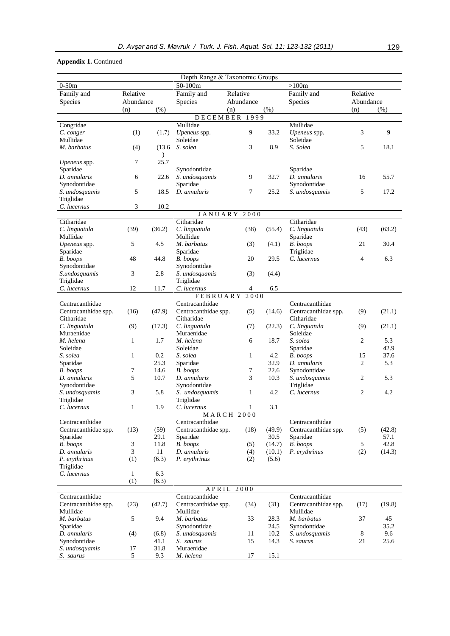# **Appendix 1.** Continued

| Depth Range & Taxonomic Groups |              |                         |                                    |                   |                  |                             |                |              |  |  |
|--------------------------------|--------------|-------------------------|------------------------------------|-------------------|------------------|-----------------------------|----------------|--------------|--|--|
| $0-50m$                        |              |                         | 50-100m                            |                   |                  | >100m                       |                |              |  |  |
| Family and                     | Relative     |                         | Family and<br>Relative             |                   |                  | Family and                  | Relative       |              |  |  |
| Species                        | Abundance    |                         | Species                            | Abundance         |                  | Species                     | Abundance      |              |  |  |
|                                | (n)          | (% )                    |                                    | (n)<br>(% )       |                  |                             | (n)<br>(% )    |              |  |  |
|                                |              |                         | <b>DECEMBER</b>                    | 1999              |                  |                             |                |              |  |  |
| Congridae                      |              |                         | Mullidae                           |                   |                  | Mullidae                    |                |              |  |  |
| C. conger                      | (1)          | (1.7)                   | Upeneus spp.                       | 9                 | 33.2             | Upeneus spp.                | 3              | 9            |  |  |
| Mullidae<br>M. barbatus        |              |                         | Soleidae                           |                   |                  | Soleidae<br>S. Solea        |                | 18.1         |  |  |
|                                | (4)          | (13.6)<br>$\mathcal{E}$ | S. solea                           | 3                 | 8.9              |                             | 5              |              |  |  |
| Upeneus spp.                   | 7            | 25.7                    |                                    |                   |                  |                             |                |              |  |  |
| Sparidae                       |              |                         | Synodontidae                       |                   |                  | Sparidae                    |                |              |  |  |
| D. annularis                   | 6            | 22.6                    | S. undosquamis                     | 9                 | 32.7             | D. annularis                | 16             | 55.7         |  |  |
| Synodontidae                   |              |                         | Sparidae                           |                   |                  | Synodontidae                |                |              |  |  |
| S. undosquamis                 | 5            | 18.5                    | D. annularis                       | 7                 | 25.2             | S. undosquamis              | 5              | 17.2         |  |  |
| Triglidae                      |              |                         |                                    |                   |                  |                             |                |              |  |  |
| C. lucernus                    | 3            | 10.2                    |                                    |                   |                  |                             |                |              |  |  |
| Citharidae                     |              |                         | JANUARY<br>Citharidae              | 2000              |                  | Citharidae                  |                |              |  |  |
| C. linguatula                  | (39)         | (36.2)                  | C. linguatula                      | (38)              | (55.4)           | C. linguatula               | (43)           | (63.2)       |  |  |
| Mullidae                       |              |                         | Mullidae                           |                   |                  | Sparidae                    |                |              |  |  |
| Upeneus spp.                   | 5            | 4.5                     | M. barbatus                        | (3)               | (4.1)            | B. boops                    | 21             | 30.4         |  |  |
| Sparidae                       |              |                         | Sparidae                           |                   |                  | Triglidae                   |                |              |  |  |
| B. boops                       | 48           | 44.8                    | B. boops                           | $20\,$            | 29.5             | C. lucernus                 | 4              | 6.3          |  |  |
| Synodontidae                   |              |                         | Synodontidae                       |                   |                  |                             |                |              |  |  |
| S.undosquamis                  | 3            | 2.8                     | S. undosquamis                     | (3)               | (4.4)            |                             |                |              |  |  |
| Triglidae                      |              |                         | Triglidae                          |                   |                  |                             |                |              |  |  |
| C. lucernus                    | 12           | 11.7                    | C. lucernus                        | $\overline{4}$    | 6.5              |                             |                |              |  |  |
| Centracanthidae                |              |                         | <b>FEBRUARY</b><br>Centracanthidae | 2000              |                  | Centracanthidae             |                |              |  |  |
| Centracanthidae spp.           | (16)         | (47.9)                  | Centracanthidae spp.               | (5)               | (14.6)           | Centracanthidae spp.        | (9)            | (21.1)       |  |  |
| Citharidae                     |              |                         | Citharidae                         |                   |                  | Citharidae                  |                |              |  |  |
| C. linguatula                  | (9)          | (17.3)                  | C. linguatula                      | (7)               | (22.3)           | C. linguatula               | (9)            | (21.1)       |  |  |
| Muraenidae                     |              |                         | Muraenidae                         |                   |                  | Soleidae                    |                |              |  |  |
| M. helena                      | 1            | 1.7                     | M. helena                          | 6                 | 18.7             | S. solea                    | $\overline{c}$ | 5.3          |  |  |
| Soleidae                       |              |                         | Soleidae                           |                   |                  | Sparidae                    |                | 42.9         |  |  |
| S. solea                       | $\mathbf{1}$ | 0.2                     | S. solea                           | $\mathbf{1}$      | 4.2              | B. boops                    | 15             | 37.6         |  |  |
| Sparidae                       |              | 25.3                    | Sparidae                           |                   | 32.9             | D. annularis                | $\overline{c}$ | 5.3          |  |  |
| B. boops<br>D. annularis       | 7<br>5       | 14.6<br>10.7            | B. boops<br>D. annularis           | 7<br>3            | 22.6<br>10.3     | Synodontidae                | $\overline{c}$ | 5.3          |  |  |
| Synodontidae                   |              |                         | Synodontidae                       |                   |                  | S. undosquamis<br>Triglidae |                |              |  |  |
| S. undosquamis                 | 3            | 5.8                     | S. undosquamis                     | $\mathbf{1}$      | 4.2              | C. lucernus                 | $\overline{c}$ | 4.2          |  |  |
| Triglidae                      |              |                         | Triglidae                          |                   |                  |                             |                |              |  |  |
| C. lucernus                    | 1            | 1.9                     | C. lucernus                        | 1                 | 3.1              |                             |                |              |  |  |
|                                |              |                         |                                    | <b>MARCH 2000</b> |                  |                             |                |              |  |  |
| Centracanthidae                |              |                         | Centracanthidae                    |                   |                  | Centracanthidae             |                |              |  |  |
| Centracanthidae spp.           | (13)         | (59)                    | Centracanthidae spp.               | (18)              | (49.9)           | Centracanthidae spp.        | (5)            | (42.8)       |  |  |
| Sparidae                       |              | 29.1                    | Sparidae                           |                   | 30.5             | Sparidae<br>B. boops        |                | 57.1<br>42.8 |  |  |
| B. boops<br>D. annularis       | 3<br>3       | 11.8<br>11              | B. boops<br>D. annularis           | (5)<br>(4)        | (14.7)<br>(10.1) | P. erythrinus               | 5<br>(2)       | (14.3)       |  |  |
| P. erythrinus                  | (1)          | (6.3)                   | P. erythrinus                      | (2)               | (5.6)            |                             |                |              |  |  |
| Triglidae                      |              |                         |                                    |                   |                  |                             |                |              |  |  |
| C. lucernus                    | $\mathbf{1}$ | 6.3                     |                                    |                   |                  |                             |                |              |  |  |
|                                | (1)          | (6.3)                   |                                    |                   |                  |                             |                |              |  |  |
|                                |              |                         | APRIL                              | 2000              |                  |                             |                |              |  |  |
| Centracanthidae                |              |                         | Centracanthidae                    |                   |                  | Centracanthidae             |                |              |  |  |
| Centracanthidae spp.           | (23)         | (42.7)                  | Centracanthidae spp.               | (34)              | (31)             | Centracanthidae spp.        | (17)           | (19.8)       |  |  |
| Mullidae                       |              |                         | Mullidae                           |                   |                  | Mullidae                    |                |              |  |  |
| M. barbatus<br>Sparidae        | 5            | 9.4                     | M. barbatus<br>Synodontidae        | 33                | 28.3<br>24.5     | M. barbatus<br>Synodontidae | 37             | 45<br>35.2   |  |  |
| D. annularis                   | (4)          | (6.8)                   | S. undosquamis                     | 11                | 10.2             | S. undosquamis              | 8              | 9.6          |  |  |
| Synodontidae                   |              | 41.1                    | S. saurus                          | 15                | 14.3             | S. saurus                   | 21             | 25.6         |  |  |
| S. undosquamis                 | 17           | 31.8                    | Muraenidae                         |                   |                  |                             |                |              |  |  |
| S. saurus                      | 5            | 9.3                     | M. helena                          | 17                | 15.1             |                             |                |              |  |  |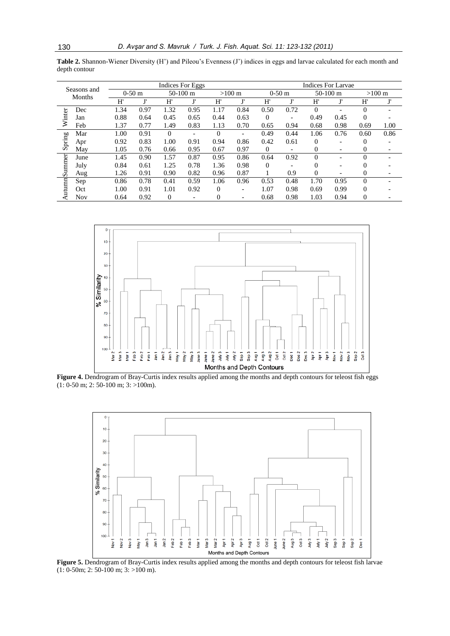**Table 2.** Shannon-Wiener Diversity (H') and Pileou's Evenness (J') indices in eggs and larvae calculated for each month and depth contour

| Seasons and<br>Months |            |      |          | Indices For Eggs |                          |          | <b>Indices For Larvae</b> |          |          |              |                          |          |                  |  |
|-----------------------|------------|------|----------|------------------|--------------------------|----------|---------------------------|----------|----------|--------------|--------------------------|----------|------------------|--|
|                       |            |      | $0-50$ m |                  | $50-100$ m               |          | $>100 \text{ m}$          |          | $0-50$ m |              | $50-100$ m               |          | $>100 \text{ m}$ |  |
|                       |            | H'   | т١       | H'               | $\mathbf{r}$             | H'       | T                         | H'       | T!       | H'           | Ţ'                       | H        | Ţ,               |  |
|                       | Dec        | 1.34 | 0.97     | 1.32             | 0.95                     | 1.17     | 0.84                      | 0.50     | 0.72     | $\Omega$     |                          | $\Omega$ |                  |  |
| Winter                | Jan        | 0.88 | 0.64     | 0.45             | 0.65                     | 0.44     | 0.63                      | $\Omega$ |          | 0.49         | 0.45                     | $\Omega$ |                  |  |
|                       | Feb        | 1.37 | 0.77     | 1.49             | 0.83                     | 1.13     | 0.70                      | 0.65     | 0.94     | 0.68         | 0.98                     | 0.69     | 1.00             |  |
|                       | Mar        | 1.00 | 0.91     | $\Omega$         |                          | $\Omega$ |                           | 0.49     | 0.44     | 1.06         | 0.76                     | 0.60     | 0.86             |  |
| Spring                | Apr        | 0.92 | 0.83     | 1.00             | 0.91                     | 0.94     | 0.86                      | 0.42     | 0.61     | $\Omega$     |                          | 0        |                  |  |
|                       | May        | 1.05 | 0.76     | 0.66             | 0.95                     | 0.67     | 0.97                      | $\Omega$ |          | $\mathbf{0}$ | ۰                        | 0        |                  |  |
|                       | June       | 1.45 | 0.90     | 1.57             | 0.87                     | 0.95     | 0.86                      | 0.64     | 0.92     | $\Omega$     |                          | 0        |                  |  |
| Summer                | July       | 0.84 | 0.61     | 1.25             | 0.78                     | 1.36     | 0.98                      | $\Omega$ |          | 0            | $\overline{\phantom{a}}$ | 0        |                  |  |
|                       | Aug        | 1.26 | 0.91     | 0.90             | 0.82                     | 0.96     | 0.87                      |          | 0.9      | $\Omega$     |                          | 0        |                  |  |
|                       | Sep        | 0.86 | 0.78     | 0.41             | 0.59                     | 1.06     | 0.96                      | 0.53     | 0.48     | 1.70         | 0.95                     | $\theta$ |                  |  |
| Autum                 | Oct        | 1.00 | 0.91     | 1.01             | 0.92                     | $\Omega$ | -                         | 1.07     | 0.98     | 0.69         | 0.99                     | $\Omega$ |                  |  |
|                       | <b>Nov</b> | 0.64 | 0.92     | $\mathbf{0}$     | $\overline{\phantom{a}}$ | 0        | -                         | 0.68     | 0.98     | 1.03         | 0.94                     | 0        |                  |  |



Figure 4. Dendrogram of Bray-Curtis index results applied among the months and depth contours for teleost fish eggs  $(1: 0.50 \text{ m}; 2: 50-100 \text{ m}; 3: >100 \text{ m}).$ 



**Figure 5.** Dendrogram of Bray-Curtis index results applied among the months and depth contours for teleost fish larvae (1: 0-50m; 2: 50-100 m; 3: >100 m).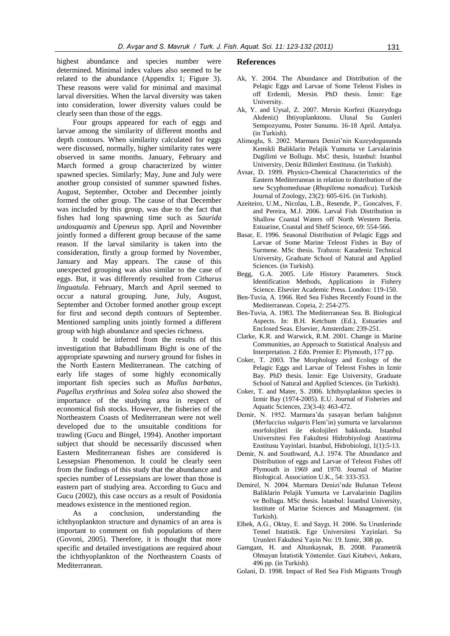highest abundance and species number were determined. Minimal index values also seemed to be related to the abundance (Appendix 1; Figure 3). These reasons were valid for minimal and maximal larval diversities. When the larval diversity was taken into consideration, lower diversity values could be clearly seen than those of the eggs.

Four groups appeared for each of eggs and larvae among the similarity of different months and depth contours. When similarity calculated for eggs were discussed, normally, higher similarity rates were observed in same months. January, February and March formed a group characterized by winter spawned species. Similarly; May, June and July were another group consisted of summer spawned fishes. August, September, October and December jointly formed the other group. The cause of that December was included by this group, was due to the fact that fishes had long spawning time such as *Saurida undosquamis* and *Upeneus* spp*.* April and November jointly formed a different group because of the same reason. If the larval similarity is taken into the consideration, firstly a group formed by November, January and May appears. The cause of this unexpected grouping was also similar to the case of eggs. But, it was differently resulted from *Citharus linguatula*. February, March and April seemed to occur a natural grouping. June, July, August, September and October formed another group except for first and second depth contours of September. Mentioned sampling units jointly formed a different group with high abundance and species richness.

It could be inferred from the results of this investigation that Babadıllimanı Bight is one of the appropriate spawning and nursery ground for fishes in the North Eastern Mediterranean. The catching of early life stages of some highly economically important fish species such as *Mullus barbatus*, *Pagellus erythrinus* and *Solea solea* also showed the importance of the studying area in respect of economical fish stocks. However, the fisheries of the Northeastern Coasts of Mediterranean were not well developed due to the unsuitable conditions for trawling (Gucu and Bingel, 1994). Another important subject that should be necessarily discussed when Eastern Mediterranean fishes are considered is Lessepsian Phenomenon. It could be clearly seen from the findings of this study that the abundance and species number of Lessepsians are lower than those is eastern part of studying area. According to Gucu and Gucu (2002), this case occurs as a result of Posidonia meadows existence in the mentioned region.

As a conclusion, understanding the ichthyoplankton structure and dynamics of an area is important to comment on fish populations of there (Govoni, 2005). Therefore, it is thought that more specific and detailed investigations are required about the ichthyoplankton of the Northeastern Coasts of Mediterranean.

#### **References**

- Ak, Y. 2004. The Abundance and Distribution of the Pelagic Eggs and Larvae of Some Teleost Fishes in off Erdemli, Mersin. PhD thesis. İzmir: Ege University.
- Ak, Y. and Uysal, Z. 2007. Mersin Korfezi (Kuzeydogu Akdeniz) Ihtiyoplanktonu. Ulusal Su Gunleri Sempozyumu, Poster Sunumu. 16-18 April. Antalya. (in Turkish).
- Alimoglu, S. 2002. Marmara Denizi'nin Kuzeydogusunda Kemikli Baliklarin Pelajik Yumurta ve Larvalarinin Dagilimi ve Bollugu. MsC thesis, Istanbul: Istanbul University, Deniz Bilimleri Enstitusu. (in Turkish).
- Avsar, D. 1999. Physico-Chemical Characteristics of the Eastern Mediterranean in relation to distribution of the new Scyphomedusae (*Rhopilema nomadica*). Turkish Journal of Zoology, 23(2): 605-616. (in Turkish).
- Azeiteiro, U.M., Nicolau, L.B., Resende, P., Goncalves, F. and Pereira, M.J. 2006. Larval Fish Distribution in Shallow Coastal Waters off North Western Iberia. Estuarine, Coastal and Shelf Science, 69: 554-566.
- Basar, E. 1996. Seasonal Distribution of Pelagic Eggs and Larvae of Some Marine Teleost Fishes in Bay of Surmene. MSc thesis. Trabzon: Karadeniz Technical University, Graduate School of Natural and Applied Sciences. (in Turkish).
- Begg, G.A. 2005. Life History Parameters. Stock Identification Methods, Applications in Fishery Science. Elsevier Academic Press. London: 119-150.
- Ben-Tuvia, A. 1966. Red Sea Fishes Recently Found in the Mediterranean. Copeia, 2: 254-275.
- Ben-Tuvia, A. 1983. The Mediterranean Sea. B. Biological Aspects. In: B.H. Ketchum (Ed.), Estuaries and Enclosed Seas. Elsevier, Amsterdam: 239-251.
- Clarke, K.R. and Warwick, R.M. 2001. Change in Marine Communities, an Approach to Statistical Analysis and Interpretation. 2 Edn. Premier E: Plymouth, 177 pp.
- Coker, T. 2003. The Morphology and Ecology of the Pelagic Eggs and Larvae of Teleost Fishes in Izmir Bay. PhD thesis. İzmir: Ege University, Graduate School of Natural and Applied Sciences. (in Turkish).
- Coker, T. and Mater, S. 2006. Ichthyoplankton species in Izmir Bay (1974-2005). E.U. Journal of Fisheries and Aquatic Sciences, 23(3-4): 463-472.
- Demir, N. 1952. Marmara'da yasayan berlam balığının (*Merluccius vulgaris* Flem'in) yumurta ve larvalarının morfolojileri ile ekolojileri hakkında. Istanbul Universitesi Fen Fakultesi Hidrobiyologi Arastirma Enstitusu Yayinlari. Istanbul, Hidrobiologi, 1(1):5-13.
- Demir, N. and Southward, A.J. 1974. The Abundance and Distribution of eggs and Larvae of Teleost Fishes off Plymouth in 1969 and 1970. Journal of Marine Biological. Association U.K., 54: 333-353.
- Demirel, N. 2004. Marmara Denizi'nde Bulunan Teleost Baliklarin Pelajik Yumurta ve Larvalarinin Dagilim ve Bollugu. MSc thesis. İstanbul: İstanbul University, Institute of Marine Sciences and Management. (in Turkish).
- Elbek, A.G., Oktay, E. and Saygı, H. 2006. Su Urunlerinde Temel Istatistik. Ege Universitesi Yayinlari. Su Urunleri Fakultesi Yayin No: 19. Izmir, 308 pp.
- Gamgam, H. and Altunkaynak, B. 2008. Parametrik Olmayan İstatistik Yöntemler. Gazi Kitabevi, Ankara, 496 pp. (in Turkish).
- Golani, D. 1998. Impact of Red Sea Fish Migrants Trough